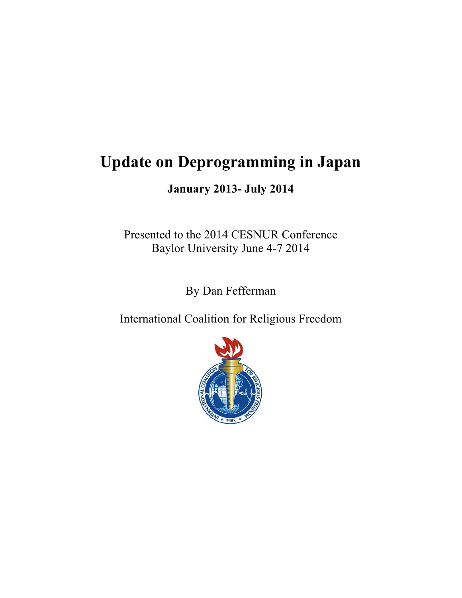# **Update on Deprogramming in Japan**

**January 2013- July 2014**

Presented to the 2014 CESNUR Conference Baylor University June 4-7 2014

By Dan Fefferman

International Coalition for Religious Freedom

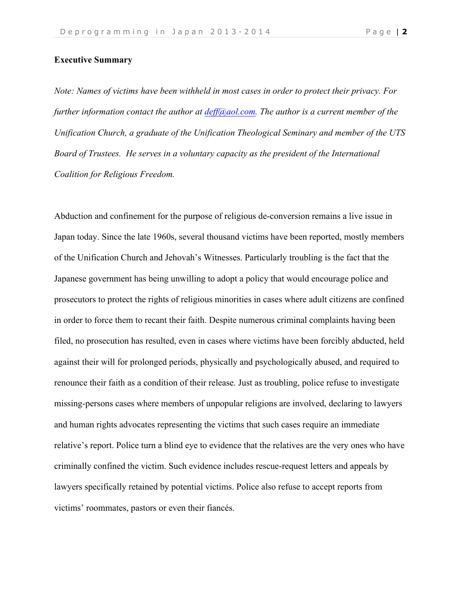# **Executive Summary**

*Note: Names of victims have been withheld in most cases in order to protect their privacy. For further information contact the author at deff@aol.com. The author is a current member of the Unification Church, a graduate of the Unification Theological Seminary and member of the UTS Board of Trustees. He serves in a voluntary capacity as the president of the International Coalition for Religious Freedom.* 

Abduction and confinement for the purpose of religious de-conversion remains a live issue in Japan today. Since the late 1960s, several thousand victims have been reported, mostly members of the Unification Church and Jehovah's Witnesses. Particularly troubling is the fact that the Japanese government has being unwilling to adopt a policy that would encourage police and prosecutors to protect the rights of religious minorities in cases where adult citizens are confined in order to force them to recant their faith. Despite numerous criminal complaints having been filed, no prosecution has resulted, even in cases where victims have been forcibly abducted, held against their will for prolonged periods, physically and psychologically abused, and required to renounce their faith as a condition of their release. Just as troubling, police refuse to investigate missing-persons cases where members of unpopular religions are involved, declaring to lawyers and human rights advocates representing the victims that such cases require an immediate relative's report. Police turn a blind eye to evidence that the relatives are the very ones who have criminally confined the victim. Such evidence includes rescue-request letters and appeals by lawyers specifically retained by potential victims. Police also refuse to accept reports from victims' roommates, pastors or even their fiancés.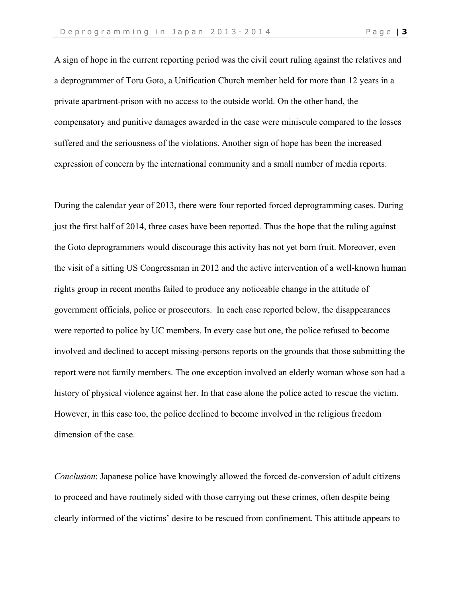A sign of hope in the current reporting period was the civil court ruling against the relatives and a deprogrammer of Toru Goto, a Unification Church member held for more than 12 years in a private apartment-prison with no access to the outside world. On the other hand, the compensatory and punitive damages awarded in the case were miniscule compared to the losses suffered and the seriousness of the violations. Another sign of hope has been the increased expression of concern by the international community and a small number of media reports.

During the calendar year of 2013, there were four reported forced deprogramming cases. During just the first half of 2014, three cases have been reported. Thus the hope that the ruling against the Goto deprogrammers would discourage this activity has not yet born fruit. Moreover, even the visit of a sitting US Congressman in 2012 and the active intervention of a well-known human rights group in recent months failed to produce any noticeable change in the attitude of government officials, police or prosecutors. In each case reported below, the disappearances were reported to police by UC members. In every case but one, the police refused to become involved and declined to accept missing-persons reports on the grounds that those submitting the report were not family members. The one exception involved an elderly woman whose son had a history of physical violence against her. In that case alone the police acted to rescue the victim. However, in this case too, the police declined to become involved in the religious freedom dimension of the case.

*Conclusion*: Japanese police have knowingly allowed the forced de-conversion of adult citizens to proceed and have routinely sided with those carrying out these crimes, often despite being clearly informed of the victims' desire to be rescued from confinement. This attitude appears to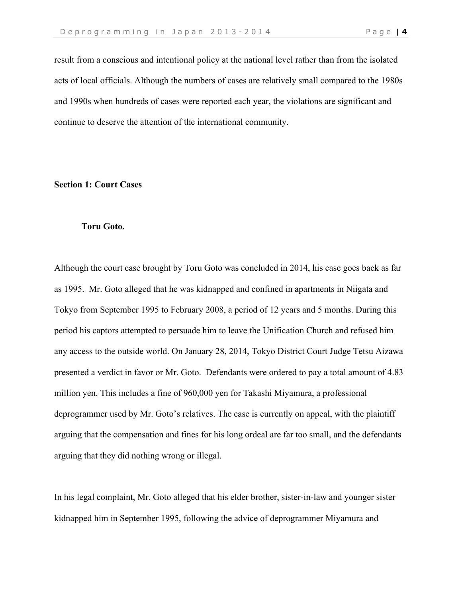result from a conscious and intentional policy at the national level rather than from the isolated acts of local officials. Although the numbers of cases are relatively small compared to the 1980s and 1990s when hundreds of cases were reported each year, the violations are significant and continue to deserve the attention of the international community.

#### **Section 1: Court Cases**

#### **Toru Goto.**

Although the court case brought by Toru Goto was concluded in 2014, his case goes back as far as 1995. Mr. Goto alleged that he was kidnapped and confined in apartments in Niigata and Tokyo from September 1995 to February 2008, a period of 12 years and 5 months. During this period his captors attempted to persuade him to leave the Unification Church and refused him any access to the outside world. On January 28, 2014, Tokyo District Court Judge Tetsu Aizawa presented a verdict in favor or Mr. Goto. Defendants were ordered to pay a total amount of 4.83 million yen. This includes a fine of 960,000 yen for Takashi Miyamura, a professional deprogrammer used by Mr. Goto's relatives. The case is currently on appeal, with the plaintiff arguing that the compensation and fines for his long ordeal are far too small, and the defendants arguing that they did nothing wrong or illegal.

In his legal complaint, Mr. Goto alleged that his elder brother, sister-in-law and younger sister kidnapped him in September 1995, following the advice of deprogrammer Miyamura and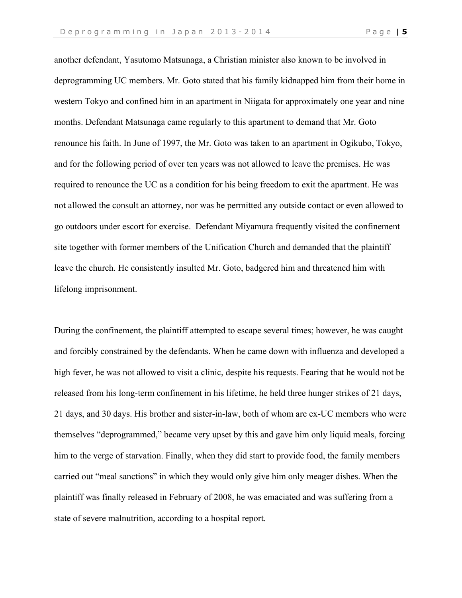another defendant, Yasutomo Matsunaga, a Christian minister also known to be involved in deprogramming UC members. Mr. Goto stated that his family kidnapped him from their home in western Tokyo and confined him in an apartment in Niigata for approximately one year and nine months. Defendant Matsunaga came regularly to this apartment to demand that Mr. Goto renounce his faith. In June of 1997, the Mr. Goto was taken to an apartment in Ogikubo, Tokyo, and for the following period of over ten years was not allowed to leave the premises. He was required to renounce the UC as a condition for his being freedom to exit the apartment. He was not allowed the consult an attorney, nor was he permitted any outside contact or even allowed to go outdoors under escort for exercise. Defendant Miyamura frequently visited the confinement site together with former members of the Unification Church and demanded that the plaintiff leave the church. He consistently insulted Mr. Goto, badgered him and threatened him with lifelong imprisonment.

During the confinement, the plaintiff attempted to escape several times; however, he was caught and forcibly constrained by the defendants. When he came down with influenza and developed a high fever, he was not allowed to visit a clinic, despite his requests. Fearing that he would not be released from his long-term confinement in his lifetime, he held three hunger strikes of 21 days, 21 days, and 30 days. His brother and sister-in-law, both of whom are ex-UC members who were themselves "deprogrammed," became very upset by this and gave him only liquid meals, forcing him to the verge of starvation. Finally, when they did start to provide food, the family members carried out "meal sanctions" in which they would only give him only meager dishes. When the plaintiff was finally released in February of 2008, he was emaciated and was suffering from a state of severe malnutrition, according to a hospital report.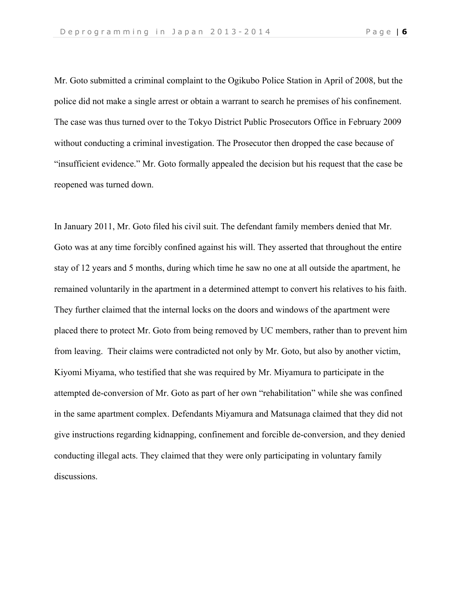Mr. Goto submitted a criminal complaint to the Ogikubo Police Station in April of 2008, but the police did not make a single arrest or obtain a warrant to search he premises of his confinement. The case was thus turned over to the Tokyo District Public Prosecutors Office in February 2009 without conducting a criminal investigation. The Prosecutor then dropped the case because of "insufficient evidence." Mr. Goto formally appealed the decision but his request that the case be reopened was turned down.

In January 2011, Mr. Goto filed his civil suit. The defendant family members denied that Mr. Goto was at any time forcibly confined against his will. They asserted that throughout the entire stay of 12 years and 5 months, during which time he saw no one at all outside the apartment, he remained voluntarily in the apartment in a determined attempt to convert his relatives to his faith. They further claimed that the internal locks on the doors and windows of the apartment were placed there to protect Mr. Goto from being removed by UC members, rather than to prevent him from leaving. Their claims were contradicted not only by Mr. Goto, but also by another victim, Kiyomi Miyama, who testified that she was required by Mr. Miyamura to participate in the attempted de-conversion of Mr. Goto as part of her own "rehabilitation" while she was confined in the same apartment complex. Defendants Miyamura and Matsunaga claimed that they did not give instructions regarding kidnapping, confinement and forcible de-conversion, and they denied conducting illegal acts. They claimed that they were only participating in voluntary family discussions.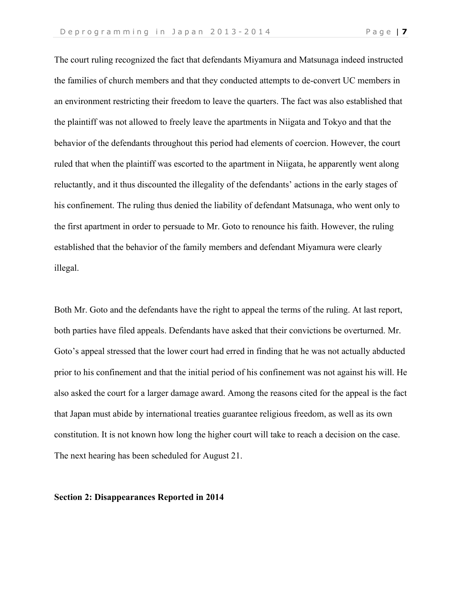The court ruling recognized the fact that defendants Miyamura and Matsunaga indeed instructed the families of church members and that they conducted attempts to de-convert UC members in an environment restricting their freedom to leave the quarters. The fact was also established that the plaintiff was not allowed to freely leave the apartments in Niigata and Tokyo and that the behavior of the defendants throughout this period had elements of coercion. However, the court ruled that when the plaintiff was escorted to the apartment in Niigata, he apparently went along reluctantly, and it thus discounted the illegality of the defendants' actions in the early stages of his confinement. The ruling thus denied the liability of defendant Matsunaga, who went only to the first apartment in order to persuade to Mr. Goto to renounce his faith. However, the ruling established that the behavior of the family members and defendant Miyamura were clearly illegal.

Both Mr. Goto and the defendants have the right to appeal the terms of the ruling. At last report, both parties have filed appeals. Defendants have asked that their convictions be overturned. Mr. Goto's appeal stressed that the lower court had erred in finding that he was not actually abducted prior to his confinement and that the initial period of his confinement was not against his will. He also asked the court for a larger damage award. Among the reasons cited for the appeal is the fact that Japan must abide by international treaties guarantee religious freedom, as well as its own constitution. It is not known how long the higher court will take to reach a decision on the case. The next hearing has been scheduled for August 21.

#### **Section 2: Disappearances Reported in 2014**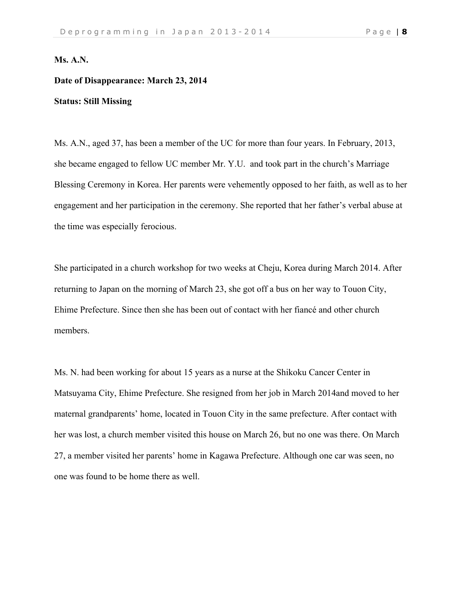# **Ms. A.N.**

# **Date of Disappearance: March 23, 2014**

# **Status: Still Missing**

Ms. A.N., aged 37, has been a member of the UC for more than four years. In February, 2013, she became engaged to fellow UC member Mr. Y.U. and took part in the church's Marriage Blessing Ceremony in Korea. Her parents were vehemently opposed to her faith, as well as to her engagement and her participation in the ceremony. She reported that her father's verbal abuse at the time was especially ferocious.

She participated in a church workshop for two weeks at Cheju, Korea during March 2014. After returning to Japan on the morning of March 23, she got off a bus on her way to Touon City, Ehime Prefecture. Since then she has been out of contact with her fiancé and other church members.

Ms. N. had been working for about 15 years as a nurse at the Shikoku Cancer Center in Matsuyama City, Ehime Prefecture. She resigned from her job in March 2014and moved to her maternal grandparents' home, located in Touon City in the same prefecture. After contact with her was lost, a church member visited this house on March 26, but no one was there. On March 27, a member visited her parents' home in Kagawa Prefecture. Although one car was seen, no one was found to be home there as well.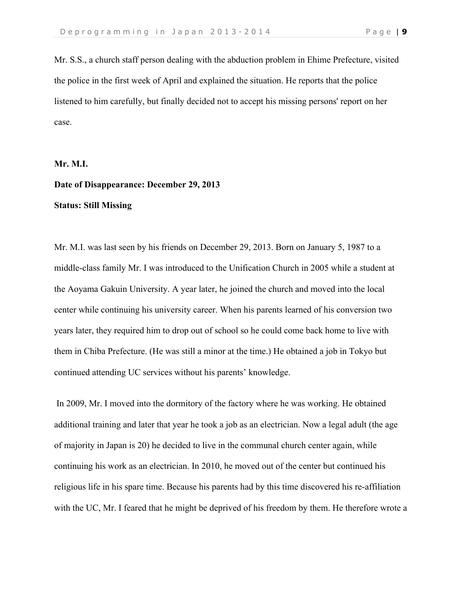Mr. S.S., a church staff person dealing with the abduction problem in Ehime Prefecture, visited the police in the first week of April and explained the situation. He reports that the police listened to him carefully, but finally decided not to accept his missing persons' report on her case.

**Mr. M.I.**

# **Date of Disappearance: December 29, 2013 Status: Still Missing**

Mr. M.I. was last seen by his friends on December 29, 2013. Born on January 5, 1987 to a middle-class family Mr. I was introduced to the Unification Church in 2005 while a student at the Aoyama Gakuin University. A year later, he joined the church and moved into the local center while continuing his university career. When his parents learned of his conversion two years later, they required him to drop out of school so he could come back home to live with them in Chiba Prefecture. (He was still a minor at the time.) He obtained a job in Tokyo but continued attending UC services without his parents' knowledge.

In 2009, Mr. I moved into the dormitory of the factory where he was working. He obtained additional training and later that year he took a job as an electrician. Now a legal adult (the age of majority in Japan is 20) he decided to live in the communal church center again, while continuing his work as an electrician. In 2010, he moved out of the center but continued his religious life in his spare time. Because his parents had by this time discovered his re-affiliation with the UC, Mr. I feared that he might be deprived of his freedom by them. He therefore wrote a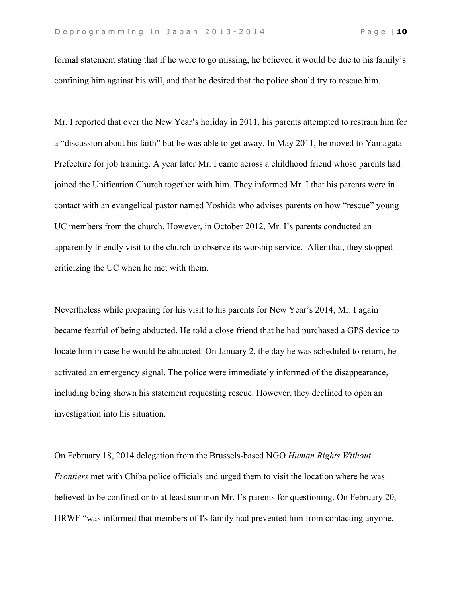formal statement stating that if he were to go missing, he believed it would be due to his family's confining him against his will, and that he desired that the police should try to rescue him.

Mr. I reported that over the New Year's holiday in 2011, his parents attempted to restrain him for a "discussion about his faith" but he was able to get away. In May 2011, he moved to Yamagata Prefecture for job training. A year later Mr. I came across a childhood friend whose parents had joined the Unification Church together with him. They informed Mr. I that his parents were in contact with an evangelical pastor named Yoshida who advises parents on how "rescue" young UC members from the church. However, in October 2012, Mr. I's parents conducted an apparently friendly visit to the church to observe its worship service. After that, they stopped criticizing the UC when he met with them.

Nevertheless while preparing for his visit to his parents for New Year's 2014, Mr. I again became fearful of being abducted. He told a close friend that he had purchased a GPS device to locate him in case he would be abducted. On January 2, the day he was scheduled to return, he activated an emergency signal. The police were immediately informed of the disappearance, including being shown his statement requesting rescue. However, they declined to open an investigation into his situation.

On February 18, 2014 delegation from the Brussels-based NGO *Human Rights Without Frontiers* met with Chiba police officials and urged them to visit the location where he was believed to be confined or to at least summon Mr. I's parents for questioning. On February 20, HRWF "was informed that members of I's family had prevented him from contacting anyone.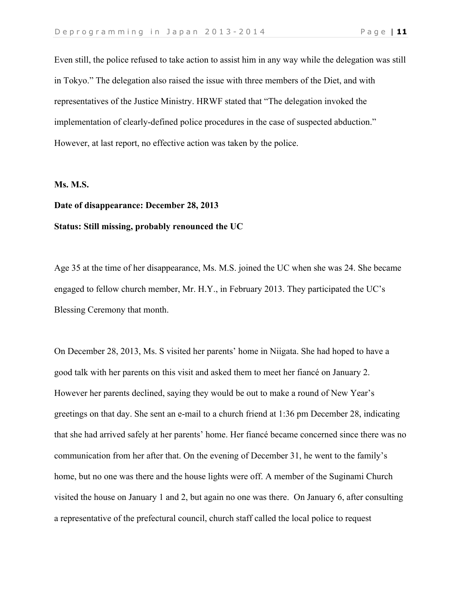Even still, the police refused to take action to assist him in any way while the delegation was still in Tokyo." The delegation also raised the issue with three members of the Diet, and with representatives of the Justice Ministry. HRWF stated that "The delegation invoked the implementation of clearly-defined police procedures in the case of suspected abduction." However, at last report, no effective action was taken by the police.

#### **Ms. M.S.**

# **Date of disappearance: December 28, 2013 Status: Still missing, probably renounced the UC**

Age 35 at the time of her disappearance, Ms. M.S. joined the UC when she was 24. She became engaged to fellow church member, Mr. H.Y., in February 2013. They participated the UC's Blessing Ceremony that month.

On December 28, 2013, Ms. S visited her parents' home in Niigata. She had hoped to have a good talk with her parents on this visit and asked them to meet her fiancé on January 2. However her parents declined, saying they would be out to make a round of New Year's greetings on that day. She sent an e-mail to a church friend at 1:36 pm December 28, indicating that she had arrived safely at her parents' home. Her fiancé became concerned since there was no communication from her after that. On the evening of December 31, he went to the family's home, but no one was there and the house lights were off. A member of the Suginami Church visited the house on January 1 and 2, but again no one was there. On January 6, after consulting a representative of the prefectural council, church staff called the local police to request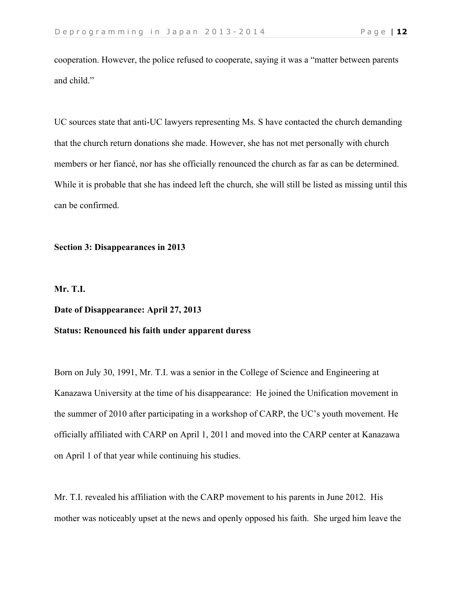cooperation. However, the police refused to cooperate, saying it was a "matter between parents and child."

UC sources state that anti-UC lawyers representing Ms. S have contacted the church demanding that the church return donations she made. However, she has not met personally with church members or her fiancé, nor has she officially renounced the church as far as can be determined. While it is probable that she has indeed left the church, she will still be listed as missing until this can be confirmed.

#### **Section 3: Disappearances in 2013**

# **Mr. T.I.**

#### **Date of Disappearance: April 27, 2013**

# **Status: Renounced his faith under apparent duress**

Born on July 30, 1991, Mr. T.I. was a senior in the College of Science and Engineering at Kanazawa University at the time of his disappearance: He joined the Unification movement in the summer of 2010 after participating in a workshop of CARP, the UC's youth movement. He officially affiliated with CARP on April 1, 2011 and moved into the CARP center at Kanazawa on April 1 of that year while continuing his studies.

Mr. T.I. revealed his affiliation with the CARP movement to his parents in June 2012. His mother was noticeably upset at the news and openly opposed his faith. She urged him leave the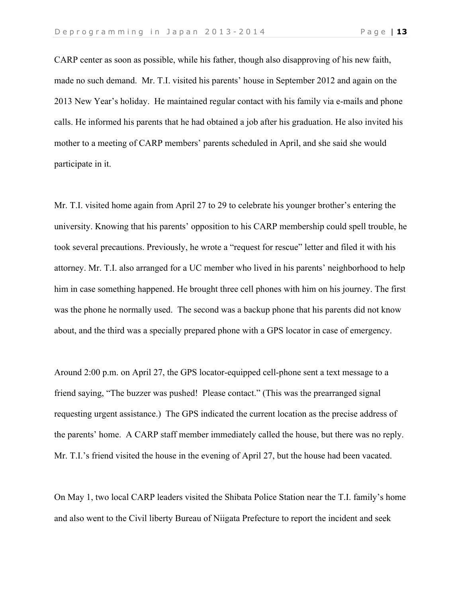CARP center as soon as possible, while his father, though also disapproving of his new faith, made no such demand. Mr. T.I. visited his parents' house in September 2012 and again on the 2013 New Year's holiday. He maintained regular contact with his family via e-mails and phone calls. He informed his parents that he had obtained a job after his graduation. He also invited his mother to a meeting of CARP members' parents scheduled in April, and she said she would participate in it.

Mr. T.I. visited home again from April 27 to 29 to celebrate his younger brother's entering the university. Knowing that his parents' opposition to his CARP membership could spell trouble, he took several precautions. Previously, he wrote a "request for rescue" letter and filed it with his attorney. Mr. T.I. also arranged for a UC member who lived in his parents' neighborhood to help him in case something happened. He brought three cell phones with him on his journey. The first was the phone he normally used. The second was a backup phone that his parents did not know about, and the third was a specially prepared phone with a GPS locator in case of emergency.

Around 2:00 p.m. on April 27, the GPS locator-equipped cell-phone sent a text message to a friend saying, "The buzzer was pushed! Please contact." (This was the prearranged signal requesting urgent assistance.) The GPS indicated the current location as the precise address of the parents' home. A CARP staff member immediately called the house, but there was no reply. Mr. T.I.'s friend visited the house in the evening of April 27, but the house had been vacated.

On May 1, two local CARP leaders visited the Shibata Police Station near the T.I. family's home and also went to the Civil liberty Bureau of Niigata Prefecture to report the incident and seek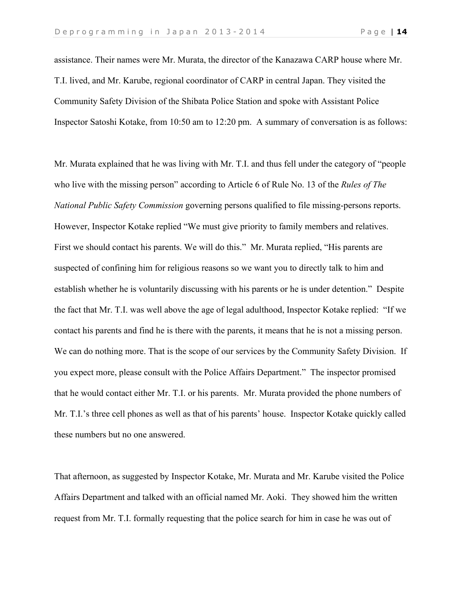assistance. Their names were Mr. Murata, the director of the Kanazawa CARP house where Mr. T.I. lived, and Mr. Karube, regional coordinator of CARP in central Japan. They visited the Community Safety Division of the Shibata Police Station and spoke with Assistant Police Inspector Satoshi Kotake, from 10:50 am to 12:20 pm. A summary of conversation is as follows:

Mr. Murata explained that he was living with Mr. T.I. and thus fell under the category of "people who live with the missing person" according to Article 6 of Rule No. 13 of the *Rules of The National Public Safety Commission* governing persons qualified to file missing-persons reports. However, Inspector Kotake replied "We must give priority to family members and relatives. First we should contact his parents. We will do this." Mr. Murata replied, "His parents are suspected of confining him for religious reasons so we want you to directly talk to him and establish whether he is voluntarily discussing with his parents or he is under detention." Despite the fact that Mr. T.I. was well above the age of legal adulthood, Inspector Kotake replied: "If we contact his parents and find he is there with the parents, it means that he is not a missing person. We can do nothing more. That is the scope of our services by the Community Safety Division. If you expect more, please consult with the Police Affairs Department." The inspector promised that he would contact either Mr. T.I. or his parents. Mr. Murata provided the phone numbers of Mr. T.I.'s three cell phones as well as that of his parents' house. Inspector Kotake quickly called these numbers but no one answered.

That afternoon, as suggested by Inspector Kotake, Mr. Murata and Mr. Karube visited the Police Affairs Department and talked with an official named Mr. Aoki. They showed him the written request from Mr. T.I. formally requesting that the police search for him in case he was out of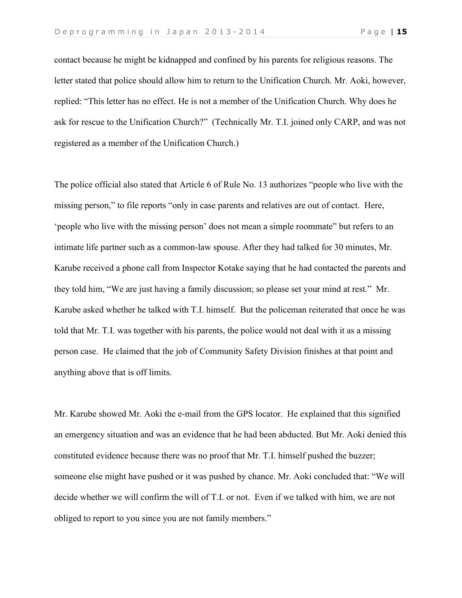contact because he might be kidnapped and confined by his parents for religious reasons. The letter stated that police should allow him to return to the Unification Church. Mr. Aoki, however, replied: "This letter has no effect. He is not a member of the Unification Church. Why does he ask for rescue to the Unification Church?" (Technically Mr. T.I. joined only CARP, and was not registered as a member of the Unification Church.)

The police official also stated that Article 6 of Rule No. 13 authorizes "people who live with the missing person," to file reports "only in case parents and relatives are out of contact. Here, 'people who live with the missing person' does not mean a simple roommate" but refers to an intimate life partner such as a common-law spouse. After they had talked for 30 minutes, Mr. Karube received a phone call from Inspector Kotake saying that he had contacted the parents and they told him, "We are just having a family discussion; so please set your mind at rest." Mr. Karube asked whether he talked with T.I. himself. But the policeman reiterated that once he was told that Mr. T.I. was together with his parents, the police would not deal with it as a missing person case. He claimed that the job of Community Safety Division finishes at that point and anything above that is off limits.

Mr. Karube showed Mr. Aoki the e-mail from the GPS locator. He explained that this signified an emergency situation and was an evidence that he had been abducted. But Mr. Aoki denied this constituted evidence because there was no proof that Mr. T.I. himself pushed the buzzer; someone else might have pushed or it was pushed by chance. Mr. Aoki concluded that: "We will decide whether we will confirm the will of T.I. or not. Even if we talked with him, we are not obliged to report to you since you are not family members."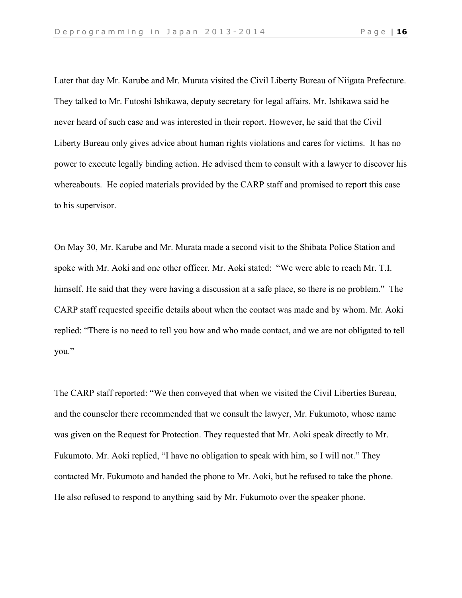Later that day Mr. Karube and Mr. Murata visited the Civil Liberty Bureau of Niigata Prefecture. They talked to Mr. Futoshi Ishikawa, deputy secretary for legal affairs. Mr. Ishikawa said he never heard of such case and was interested in their report. However, he said that the Civil Liberty Bureau only gives advice about human rights violations and cares for victims. It has no power to execute legally binding action. He advised them to consult with a lawyer to discover his whereabouts. He copied materials provided by the CARP staff and promised to report this case to his supervisor.

On May 30, Mr. Karube and Mr. Murata made a second visit to the Shibata Police Station and spoke with Mr. Aoki and one other officer. Mr. Aoki stated: "We were able to reach Mr. T.I. himself. He said that they were having a discussion at a safe place, so there is no problem." The CARP staff requested specific details about when the contact was made and by whom. Mr. Aoki replied: "There is no need to tell you how and who made contact, and we are not obligated to tell you."

The CARP staff reported: "We then conveyed that when we visited the Civil Liberties Bureau, and the counselor there recommended that we consult the lawyer, Mr. Fukumoto, whose name was given on the Request for Protection. They requested that Mr. Aoki speak directly to Mr. Fukumoto. Mr. Aoki replied, "I have no obligation to speak with him, so I will not." They contacted Mr. Fukumoto and handed the phone to Mr. Aoki, but he refused to take the phone. He also refused to respond to anything said by Mr. Fukumoto over the speaker phone.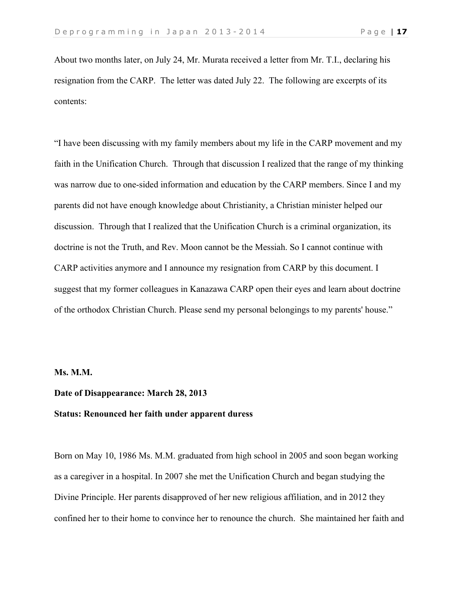About two months later, on July 24, Mr. Murata received a letter from Mr. T.I., declaring his resignation from the CARP. The letter was dated July 22. The following are excerpts of its contents:

"I have been discussing with my family members about my life in the CARP movement and my faith in the Unification Church. Through that discussion I realized that the range of my thinking was narrow due to one-sided information and education by the CARP members. Since I and my parents did not have enough knowledge about Christianity, a Christian minister helped our discussion. Through that I realized that the Unification Church is a criminal organization, its doctrine is not the Truth, and Rev. Moon cannot be the Messiah. So I cannot continue with CARP activities anymore and I announce my resignation from CARP by this document. I suggest that my former colleagues in Kanazawa CARP open their eyes and learn about doctrine of the orthodox Christian Church. Please send my personal belongings to my parents' house."

#### **Ms. M.M.**

## **Date of Disappearance: March 28, 2013**

#### **Status: Renounced her faith under apparent duress**

Born on May 10, 1986 Ms. M.M. graduated from high school in 2005 and soon began working as a caregiver in a hospital. In 2007 she met the Unification Church and began studying the Divine Principle. Her parents disapproved of her new religious affiliation, and in 2012 they confined her to their home to convince her to renounce the church. She maintained her faith and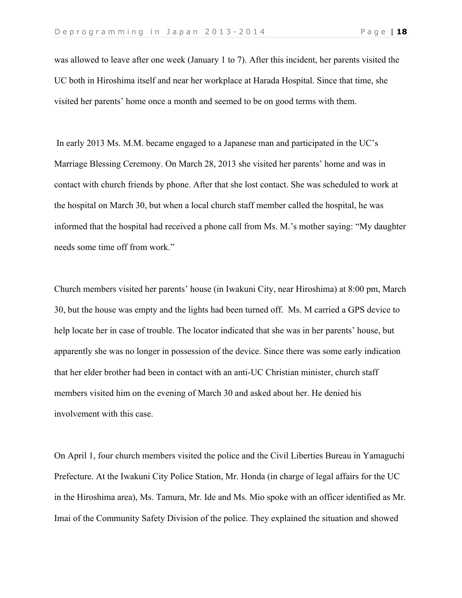was allowed to leave after one week (January 1 to 7). After this incident, her parents visited the UC both in Hiroshima itself and near her workplace at Harada Hospital. Since that time, she visited her parents' home once a month and seemed to be on good terms with them.

In early 2013 Ms. M.M. became engaged to a Japanese man and participated in the UC's Marriage Blessing Ceremony. On March 28, 2013 she visited her parents' home and was in contact with church friends by phone. After that she lost contact. She was scheduled to work at the hospital on March 30, but when a local church staff member called the hospital, he was informed that the hospital had received a phone call from Ms. M.'s mother saying: "My daughter needs some time off from work."

Church members visited her parents' house (in Iwakuni City, near Hiroshima) at 8:00 pm, March 30, but the house was empty and the lights had been turned off. Ms. M carried a GPS device to help locate her in case of trouble. The locator indicated that she was in her parents' house, but apparently she was no longer in possession of the device. Since there was some early indication that her elder brother had been in contact with an anti-UC Christian minister, church staff members visited him on the evening of March 30 and asked about her. He denied his involvement with this case.

On April 1, four church members visited the police and the Civil Liberties Bureau in Yamaguchi Prefecture. At the Iwakuni City Police Station, Mr. Honda (in charge of legal affairs for the UC in the Hiroshima area), Ms. Tamura, Mr. Ide and Ms. Mio spoke with an officer identified as Mr. Imai of the Community Safety Division of the police. They explained the situation and showed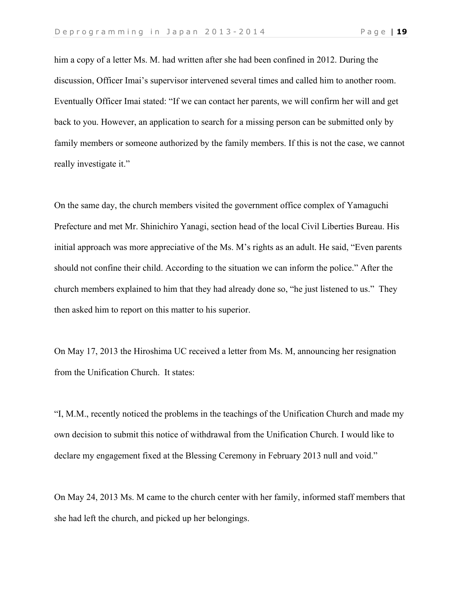him a copy of a letter Ms. M. had written after she had been confined in 2012. During the discussion, Officer Imai's supervisor intervened several times and called him to another room. Eventually Officer Imai stated: "If we can contact her parents, we will confirm her will and get back to you. However, an application to search for a missing person can be submitted only by family members or someone authorized by the family members. If this is not the case, we cannot really investigate it."

On the same day, the church members visited the government office complex of Yamaguchi Prefecture and met Mr. Shinichiro Yanagi, section head of the local Civil Liberties Bureau. His initial approach was more appreciative of the Ms. M's rights as an adult. He said, "Even parents should not confine their child. According to the situation we can inform the police." After the church members explained to him that they had already done so, "he just listened to us." They then asked him to report on this matter to his superior.

On May 17, 2013 the Hiroshima UC received a letter from Ms. M, announcing her resignation from the Unification Church. It states:

"I, M.M., recently noticed the problems in the teachings of the Unification Church and made my own decision to submit this notice of withdrawal from the Unification Church. I would like to declare my engagement fixed at the Blessing Ceremony in February 2013 null and void."

On May 24, 2013 Ms. M came to the church center with her family, informed staff members that she had left the church, and picked up her belongings.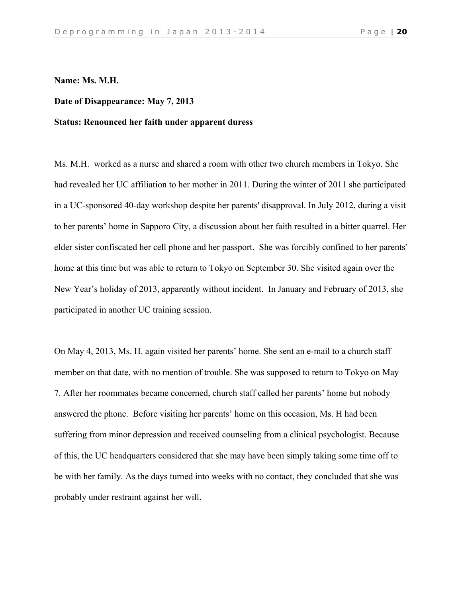#### **Name: Ms. M.H.**

# **Date of Disappearance: May 7, 2013**

## **Status: Renounced her faith under apparent duress**

Ms. M.H. worked as a nurse and shared a room with other two church members in Tokyo. She had revealed her UC affiliation to her mother in 2011. During the winter of 2011 she participated in a UC-sponsored 40-day workshop despite her parents' disapproval. In July 2012, during a visit to her parents' home in Sapporo City, a discussion about her faith resulted in a bitter quarrel. Her elder sister confiscated her cell phone and her passport. She was forcibly confined to her parents' home at this time but was able to return to Tokyo on September 30. She visited again over the New Year's holiday of 2013, apparently without incident. In January and February of 2013, she participated in another UC training session.

On May 4, 2013, Ms. H. again visited her parents' home. She sent an e-mail to a church staff member on that date, with no mention of trouble. She was supposed to return to Tokyo on May 7. After her roommates became concerned, church staff called her parents' home but nobody answered the phone. Before visiting her parents' home on this occasion, Ms. H had been suffering from minor depression and received counseling from a clinical psychologist. Because of this, the UC headquarters considered that she may have been simply taking some time off to be with her family. As the days turned into weeks with no contact, they concluded that she was probably under restraint against her will.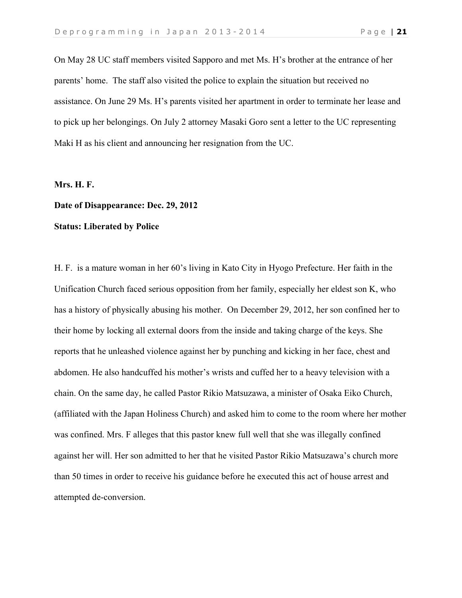On May 28 UC staff members visited Sapporo and met Ms. H's brother at the entrance of her parents' home. The staff also visited the police to explain the situation but received no assistance. On June 29 Ms. H's parents visited her apartment in order to terminate her lease and to pick up her belongings. On July 2 attorney Masaki Goro sent a letter to the UC representing Maki H as his client and announcing her resignation from the UC.

#### **Mrs. H. F.**

#### **Date of Disappearance: Dec. 29, 2012**

# **Status: Liberated by Police**

H. F. is a mature woman in her 60's living in Kato City in Hyogo Prefecture. Her faith in the Unification Church faced serious opposition from her family, especially her eldest son K, who has a history of physically abusing his mother. On December 29, 2012, her son confined her to their home by locking all external doors from the inside and taking charge of the keys. She reports that he unleashed violence against her by punching and kicking in her face, chest and abdomen. He also handcuffed his mother's wrists and cuffed her to a heavy television with a chain. On the same day, he called Pastor Rikio Matsuzawa, a minister of Osaka Eiko Church, (affiliated with the Japan Holiness Church) and asked him to come to the room where her mother was confined. Mrs. F alleges that this pastor knew full well that she was illegally confined against her will. Her son admitted to her that he visited Pastor Rikio Matsuzawa's church more than 50 times in order to receive his guidance before he executed this act of house arrest and attempted de-conversion.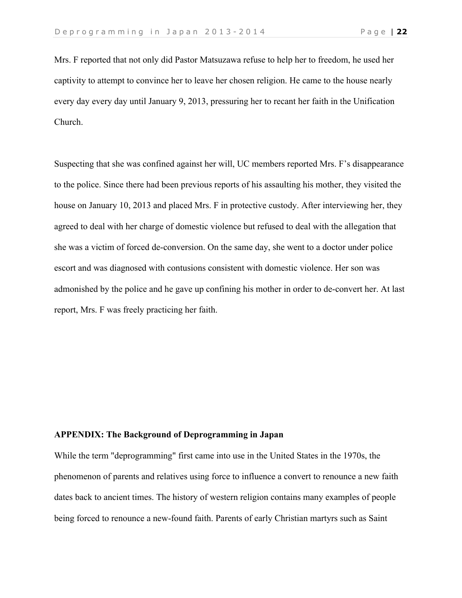Mrs. F reported that not only did Pastor Matsuzawa refuse to help her to freedom, he used her captivity to attempt to convince her to leave her chosen religion. He came to the house nearly every day every day until January 9, 2013, pressuring her to recant her faith in the Unification Church.

Suspecting that she was confined against her will, UC members reported Mrs. F's disappearance to the police. Since there had been previous reports of his assaulting his mother, they visited the house on January 10, 2013 and placed Mrs. F in protective custody. After interviewing her, they agreed to deal with her charge of domestic violence but refused to deal with the allegation that she was a victim of forced de-conversion. On the same day, she went to a doctor under police escort and was diagnosed with contusions consistent with domestic violence. Her son was admonished by the police and he gave up confining his mother in order to de-convert her. At last report, Mrs. F was freely practicing her faith.

#### **APPENDIX: The Background of Deprogramming in Japan**

While the term "deprogramming" first came into use in the United States in the 1970s, the phenomenon of parents and relatives using force to influence a convert to renounce a new faith dates back to ancient times. The history of western religion contains many examples of people being forced to renounce a new-found faith. Parents of early Christian martyrs such as Saint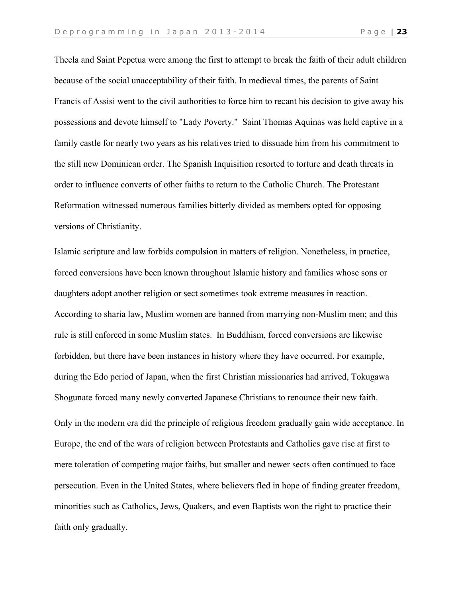Thecla and Saint Pepetua were among the first to attempt to break the faith of their adult children because of the social unacceptability of their faith. In medieval times, the parents of Saint Francis of Assisi went to the civil authorities to force him to recant his decision to give away his possessions and devote himself to "Lady Poverty." Saint Thomas Aquinas was held captive in a family castle for nearly two years as his relatives tried to dissuade him from his commitment to the still new Dominican order. The Spanish Inquisition resorted to torture and death threats in order to influence converts of other faiths to return to the Catholic Church. The Protestant Reformation witnessed numerous families bitterly divided as members opted for opposing versions of Christianity.

Islamic scripture and law forbids compulsion in matters of religion. Nonetheless, in practice, forced conversions have been known throughout Islamic history and families whose sons or daughters adopt another religion or sect sometimes took extreme measures in reaction. According to sharia law, Muslim women are banned from marrying non-Muslim men; and this rule is still enforced in some Muslim states. In Buddhism, forced conversions are likewise forbidden, but there have been instances in history where they have occurred. For example, during the Edo period of Japan, when the first Christian missionaries had arrived, Tokugawa Shogunate forced many newly converted Japanese Christians to renounce their new faith. Only in the modern era did the principle of religious freedom gradually gain wide acceptance. In Europe, the end of the wars of religion between Protestants and Catholics gave rise at first to mere toleration of competing major faiths, but smaller and newer sects often continued to face persecution. Even in the United States, where believers fled in hope of finding greater freedom, minorities such as Catholics, Jews, Quakers, and even Baptists won the right to practice their faith only gradually.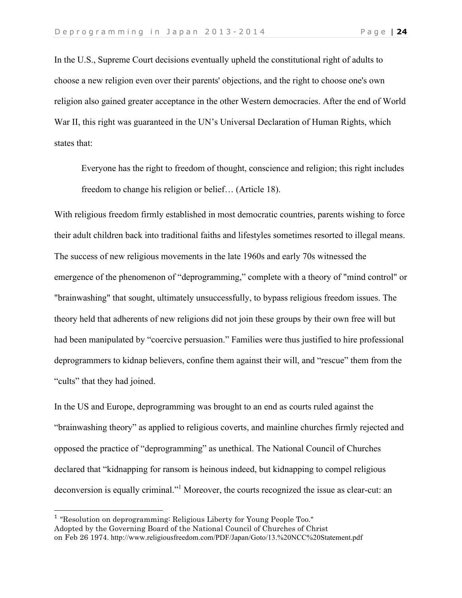In the U.S., Supreme Court decisions eventually upheld the constitutional right of adults to choose a new religion even over their parents' objections, and the right to choose one's own religion also gained greater acceptance in the other Western democracies. After the end of World War II, this right was guaranteed in the UN's Universal Declaration of Human Rights, which states that:

Everyone has the right to freedom of thought, conscience and religion; this right includes freedom to change his religion or belief… (Article 18).

With religious freedom firmly established in most democratic countries, parents wishing to force their adult children back into traditional faiths and lifestyles sometimes resorted to illegal means. The success of new religious movements in the late 1960s and early 70s witnessed the emergence of the phenomenon of "deprogramming," complete with a theory of "mind control" or "brainwashing" that sought, ultimately unsuccessfully, to bypass religious freedom issues. The theory held that adherents of new religions did not join these groups by their own free will but had been manipulated by "coercive persuasion." Families were thus justified to hire professional deprogrammers to kidnap believers, confine them against their will, and "rescue" them from the "cults" that they had joined.

In the US and Europe, deprogramming was brought to an end as courts ruled against the "brainwashing theory" as applied to religious coverts, and mainline churches firmly rejected and opposed the practice of "deprogramming" as unethical. The National Council of Churches declared that "kidnapping for ransom is heinous indeed, but kidnapping to compel religious deconversion is equally criminal."<sup>1</sup> Moreover, the courts recognized the issue as clear-cut: an

<sup>&</sup>lt;sup>1</sup> "Resolution on deprogramming: Religious Liberty for Young People Too." Adopted by the Governing Board of the National Council of Churches of Christ on Feb 26 1974. http://www.religiousfreedom.com/PDF/Japan/Goto/13.%20NCC%20Statement.pdf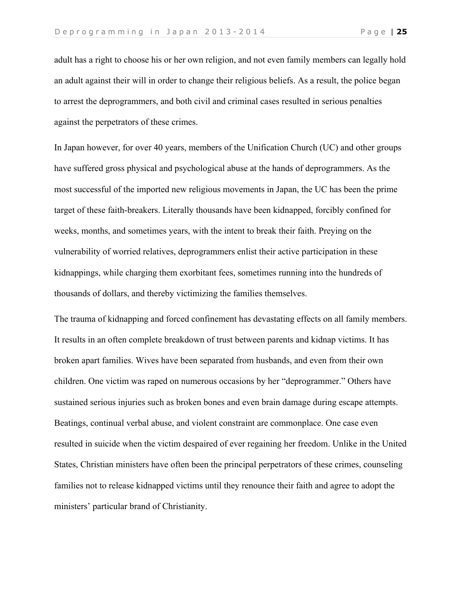adult has a right to choose his or her own religion, and not even family members can legally hold an adult against their will in order to change their religious beliefs. As a result, the police began to arrest the deprogrammers, and both civil and criminal cases resulted in serious penalties against the perpetrators of these crimes.

In Japan however, for over 40 years, members of the Unification Church (UC) and other groups have suffered gross physical and psychological abuse at the hands of deprogrammers. As the most successful of the imported new religious movements in Japan, the UC has been the prime target of these faith-breakers. Literally thousands have been kidnapped, forcibly confined for weeks, months, and sometimes years, with the intent to break their faith. Preying on the vulnerability of worried relatives, deprogrammers enlist their active participation in these kidnappings, while charging them exorbitant fees, sometimes running into the hundreds of thousands of dollars, and thereby victimizing the families themselves.

The trauma of kidnapping and forced confinement has devastating effects on all family members. It results in an often complete breakdown of trust between parents and kidnap victims. It has broken apart families. Wives have been separated from husbands, and even from their own children. One victim was raped on numerous occasions by her "deprogrammer." Others have sustained serious injuries such as broken bones and even brain damage during escape attempts. Beatings, continual verbal abuse, and violent constraint are commonplace. One case even resulted in suicide when the victim despaired of ever regaining her freedom. Unlike in the United States, Christian ministers have often been the principal perpetrators of these crimes, counseling families not to release kidnapped victims until they renounce their faith and agree to adopt the ministers' particular brand of Christianity.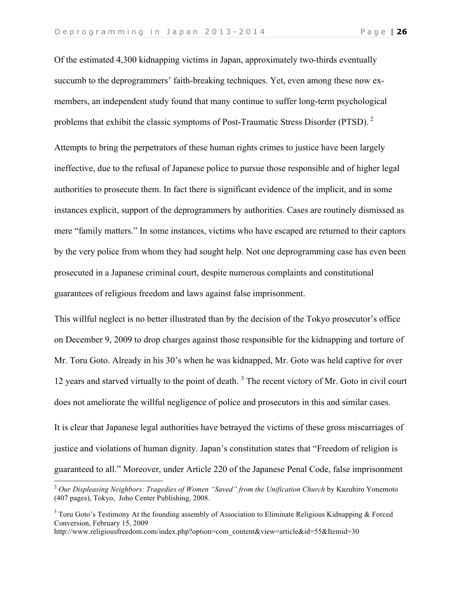Of the estimated 4,300 kidnapping victims in Japan, approximately two-thirds eventually succumb to the deprogrammers' faith-breaking techniques. Yet, even among these now exmembers, an independent study found that many continue to suffer long-term psychological problems that exhibit the classic symptoms of Post-Traumatic Stress Disorder (PTSD).<sup>2</sup> Attempts to bring the perpetrators of these human rights crimes to justice have been largely ineffective, due to the refusal of Japanese police to pursue those responsible and of higher legal authorities to prosecute them. In fact there is significant evidence of the implicit, and in some instances explicit, support of the deprogrammers by authorities. Cases are routinely dismissed as mere "family matters." In some instances, victims who have escaped are returned to their captors by the very police from whom they had sought help. Not one deprogramming case has even been prosecuted in a Japanese criminal court, despite numerous complaints and constitutional guarantees of religious freedom and laws against false imprisonment.

This willful neglect is no better illustrated than by the decision of the Tokyo prosecutor's office on December 9, 2009 to drop charges against those responsible for the kidnapping and torture of Mr. Toru Goto. Already in his 30's when he was kidnapped, Mr. Goto was held captive for over 12 years and starved virtually to the point of death.<sup>3</sup> The recent victory of Mr. Goto in civil court does not ameliorate the willful negligence of police and prosecutors in this and similar cases.

It is clear that Japanese legal authorities have betrayed the victims of these gross miscarriages of justice and violations of human dignity. Japan's constitution states that "Freedom of religion is guaranteed to all." Moreover, under Article 220 of the Japanese Penal Code, false imprisonment

-

<sup>2</sup> *Our Displeasing Neighbors: Tragedies of Women "Saved" from the Unification Church* by Kazuhiro Yonemoto (407 pages), Tokyo, Joho Center Publishing, 2008.

 $3$  Toru Goto's Testimony At the founding assembly of Association to Eliminate Religious Kidnapping & Forced Conversion, February 15, 2009

http://www.religiousfreedom.com/index.php?option=com\_content&view=article&id=55&Itemid=30